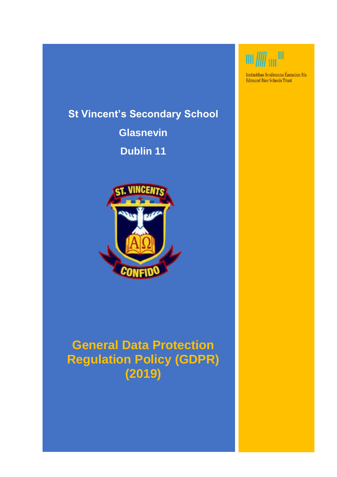# **St Vincent's Secondary School**

**Glasnevin Dublin 11**



# **General Data Protection Regulation Policy (GDPR) (2019)**



Iontaobhas Scoileanna Éamainn Rís Edmund Rice Schools Trust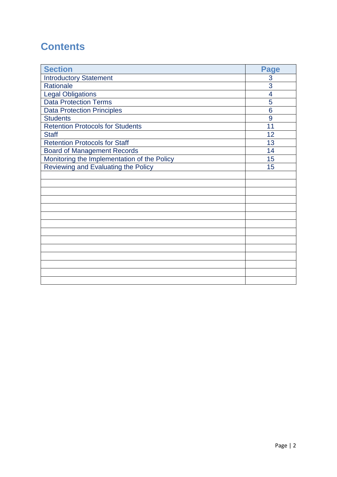# **Contents**

| <b>Section</b>                              | <b>Page</b>    |
|---------------------------------------------|----------------|
| <b>Introductory Statement</b>               | 3              |
| Rationale                                   | 3              |
| <b>Legal Obligations</b>                    | $\overline{4}$ |
| <b>Data Protection Terms</b>                | 5              |
| <b>Data Protection Principles</b>           | 6              |
| <b>Students</b>                             | 9              |
| <b>Retention Protocols for Students</b>     | 11             |
| <b>Staff</b>                                | 12             |
| <b>Retention Protocols for Staff</b>        | 13             |
| <b>Board of Management Records</b>          | 14             |
| Monitoring the Implementation of the Policy | 15             |
| Reviewing and Evaluating the Policy         | 15             |
|                                             |                |
|                                             |                |
|                                             |                |
|                                             |                |
|                                             |                |
|                                             |                |
|                                             |                |
|                                             |                |
|                                             |                |
|                                             |                |
|                                             |                |
|                                             |                |
|                                             |                |
|                                             |                |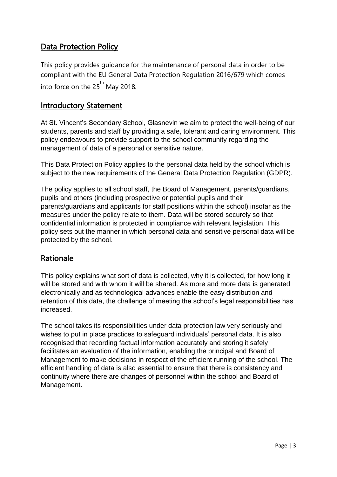## Data Protection Policy

This policy provides guidance for the maintenance of personal data in order to be compliant with the EU General Data Protection Regulation 2016/679 which comes into force on the  $25<sup>th</sup>$  May 2018.

#### Introductory Statement

At St. Vincent's Secondary School, Glasnevin we aim to protect the well-being of our students, parents and staff by providing a safe, tolerant and caring environment. This policy endeavours to provide support to the school community regarding the management of data of a personal or sensitive nature.

This Data Protection Policy applies to the personal data held by the school which is subject to the new requirements of the General Data Protection Regulation (GDPR).

The policy applies to all school staff, the Board of Management, parents/guardians, pupils and others (including prospective or potential pupils and their parents/guardians and applicants for staff positions within the school) insofar as the measures under the policy relate to them. Data will be stored securely so that confidential information is protected in compliance with relevant legislation. This policy sets out the manner in which personal data and sensitive personal data will be protected by the school.

### Rationale

This policy explains what sort of data is collected, why it is collected, for how long it will be stored and with whom it will be shared. As more and more data is generated electronically and as technological advances enable the easy distribution and retention of this data, the challenge of meeting the school's legal responsibilities has increased.

The school takes its responsibilities under data protection law very seriously and wishes to put in place practices to safeguard individuals' personal data. It is also recognised that recording factual information accurately and storing it safely facilitates an evaluation of the information, enabling the principal and Board of Management to make decisions in respect of the efficient running of the school. The efficient handling of data is also essential to ensure that there is consistency and continuity where there are changes of personnel within the school and Board of Management.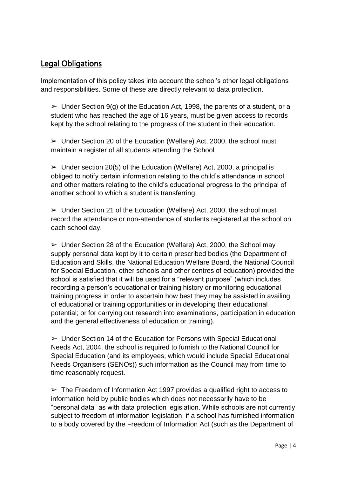### Legal Obligations

Implementation of this policy takes into account the school's other legal obligations and responsibilities. Some of these are directly relevant to data protection.

 $\triangleright$  Under Section 9(g) of the Education Act, 1998, the parents of a student, or a student who has reached the age of 16 years, must be given access to records kept by the school relating to the progress of the student in their education.

 $\triangleright$  Under Section 20 of the Education (Welfare) Act, 2000, the school must maintain a register of all students attending the School

 $\triangleright$  Under section 20(5) of the Education (Welfare) Act, 2000, a principal is obliged to notify certain information relating to the child's attendance in school and other matters relating to the child's educational progress to the principal of another school to which a student is transferring.

 $\triangleright$  Under Section 21 of the Education (Welfare) Act, 2000, the school must record the attendance or non-attendance of students registered at the school on each school day.

 $\triangleright$  Under Section 28 of the Education (Welfare) Act, 2000, the School may supply personal data kept by it to certain prescribed bodies (the Department of Education and Skills, the National Education Welfare Board, the National Council for Special Education, other schools and other centres of education) provided the school is satisfied that it will be used for a "relevant purpose" (which includes recording a person's educational or training history or monitoring educational training progress in order to ascertain how best they may be assisted in availing of educational or training opportunities or in developing their educational potential; or for carrying out research into examinations, participation in education and the general effectiveness of education or training).

➢ Under Section 14 of the Education for Persons with Special Educational Needs Act, 2004, the school is required to furnish to the National Council for Special Education (and its employees, which would include Special Educational Needs Organisers (SENOs)) such information as the Council may from time to time reasonably request.

 $\triangleright$  The Freedom of Information Act 1997 provides a qualified right to access to information held by public bodies which does not necessarily have to be "personal data" as with data protection legislation. While schools are not currently subject to freedom of information legislation, if a school has furnished information to a body covered by the Freedom of Information Act (such as the Department of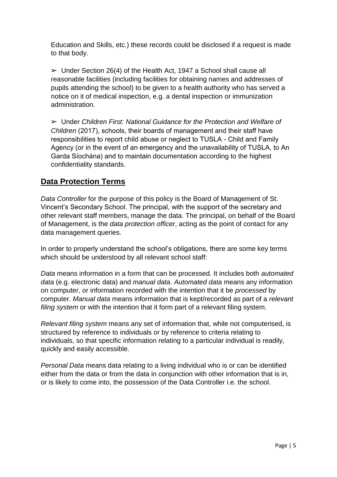Education and Skills, etc.) these records could be disclosed if a request is made to that body.

 $\triangleright$  Under Section 26(4) of the Health Act, 1947 a School shall cause all reasonable facilities (including facilities for obtaining names and addresses of pupils attending the school) to be given to a health authority who has served a notice on it of medical inspection, e.g. a dental inspection or immunization administration.

➢ Under *Children First: National Guidance for the Protection and Welfare of Children* (2017), schools, their boards of management and their staff have responsibilities to report child abuse or neglect to TUSLA - Child and Family Agency (or in the event of an emergency and the unavailability of TUSLA, to An Garda Síochána) and to maintain documentation according to the highest confidentiality standards.

# **Data Protection Terms**

*Data Controller* for the purpose of this policy is the Board of Management of St. Vincent's Secondary School. The principal, with the support of the secretary and other relevant staff members, manage the data. The principal, on behalf of the Board of Management, is the *data protection officer*, acting as the point of contact for any data management queries.

In order to properly understand the school's obligations, there are some key terms which should be understood by all relevant school staff:

*Data* means information in a form that can be processed. It includes both *automated data* (e.g. electronic data) and *manual data*. *Automated data* means any information on computer, or information recorded with the intention that it be *processed* by computer. *Manual data* means information that is kept/recorded as part of a *relevant filing system* or with the intention that it form part of a relevant filing system.

*Relevant filing system* means any set of information that, while not computerised, is structured by reference to individuals or by reference to criteria relating to individuals, so that specific information relating to a particular individual is readily, quickly and easily accessible.

*Personal Data* means data relating to a living individual who is or can be identified either from the data or from the data in conjunction with other information that is in, or is likely to come into, the possession of the Data Controller i.e. the school.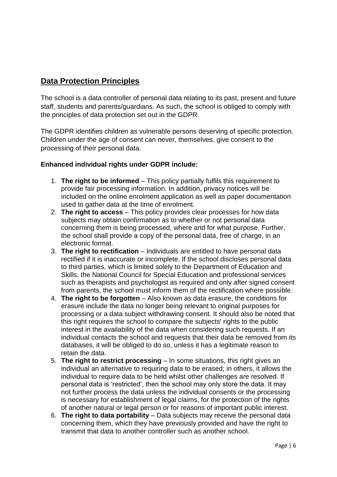## **Data Protection Principles**

The school is a data controller of personal data relating to its past, present and future staff, students and parents/guardians. As such, the school is obliged to comply with the principles of data protection set out in the GDPR.

The GDPR identifies children as vulnerable persons deserving of specific protection. Children under the age of consent can never, themselves, give consent to the processing of their personal data.

#### **Enhanced individual rights under GDPR include:**

- 1. **The right to be informed** This policy partially fulfils this requirement to provide fair processing information. In addition, privacy notices will be included on the online enrolment application as well as paper documentation used to gather data at the time of enrolment.
- 2. **The right to access** This policy provides clear processes for how data subjects may obtain confirmation as to whether or not personal data concerning them is being processed, where and for what purpose. Further, the school shall provide a copy of the personal data, free of charge, in an electronic format.
- 3. **The right to rectification** Individuals are entitled to have personal data rectified if it is inaccurate or incomplete. If the school discloses personal data to third parties, which is limited solely to the Department of Education and Skills, the National Council for Special Education and professional services such as therapists and psychologist as required and only after signed consent from parents, the school must inform them of the rectification where possible.
- 4. **The right to be forgotten** Also known as data erasure, the conditions for erasure include the data no longer being relevant to original purposes for processing or a data subject withdrawing consent. It should also be noted that this right requires the school to compare the subjects' rights to the public interest in the availability of the data when considering such requests. If an individual contacts the school and requests that their data be removed from its databases, it will be obliged to do so, unless it has a legitimate reason to retain the data.
- 5. **The right to restrict processing** In some situations, this right gives an individual an alternative to requiring data to be erased; in others, it allows the individual to require data to be held whilst other challenges are resolved. If personal data is 'restricted', then the school may only store the data. It may not further process the data unless the individual consents or the processing is necessary for establishment of legal claims, for the protection of the rights of another natural or legal person or for reasons of important public interest.
- 6. **The right to data portability** Data subjects may receive the personal data concerning them, which they have previously provided and have the right to transmit that data to another controller such as another school.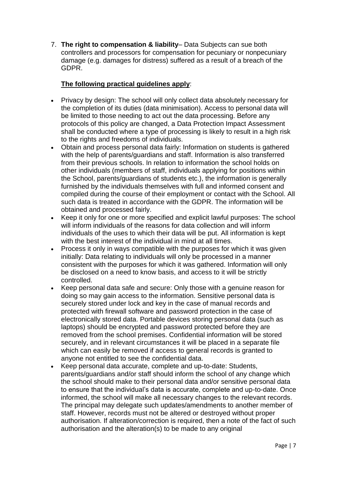7. **The right to compensation & liability**– Data Subjects can sue both controllers and processors for compensation for pecuniary or nonpecuniary damage (e.g. damages for distress) suffered as a result of a breach of the GDPR.

#### **The following practical guidelines apply**:

- Privacy by design: The school will only collect data absolutely necessary for the completion of its duties (data minimisation). Access to personal data will be limited to those needing to act out the data processing. Before any protocols of this policy are changed, a Data Protection Impact Assessment shall be conducted where a type of processing is likely to result in a high risk to the rights and freedoms of individuals.
- Obtain and process personal data fairly: Information on students is gathered with the help of parents/guardians and staff. Information is also transferred from their previous schools. In relation to information the school holds on other individuals (members of staff, individuals applying for positions within the School, parents/guardians of students etc.), the information is generally furnished by the individuals themselves with full and informed consent and compiled during the course of their employment or contact with the School. All such data is treated in accordance with the GDPR. The information will be obtained and processed fairly.
- Keep it only for one or more specified and explicit lawful purposes: The school will inform individuals of the reasons for data collection and will inform individuals of the uses to which their data will be put. All information is kept with the best interest of the individual in mind at all times.
- Process it only in ways compatible with the purposes for which it was given initially: Data relating to individuals will only be processed in a manner consistent with the purposes for which it was gathered. Information will only be disclosed on a need to know basis, and access to it will be strictly controlled.
- Keep personal data safe and secure: Only those with a genuine reason for doing so may gain access to the information. Sensitive personal data is securely stored under lock and key in the case of manual records and protected with firewall software and password protection in the case of electronically stored data. Portable devices storing personal data (such as laptops) should be encrypted and password protected before they are removed from the school premises. Confidential information will be stored securely, and in relevant circumstances it will be placed in a separate file which can easily be removed if access to general records is granted to anyone not entitled to see the confidential data.
- Keep personal data accurate, complete and up-to-date: Students, parents/guardians and/or staff should inform the school of any change which the school should make to their personal data and/or sensitive personal data to ensure that the individual's data is accurate, complete and up-to-date. Once informed, the school will make all necessary changes to the relevant records. The principal may delegate such updates/amendments to another member of staff. However, records must not be altered or destroyed without proper authorisation. If alteration/correction is required, then a note of the fact of such authorisation and the alteration(s) to be made to any original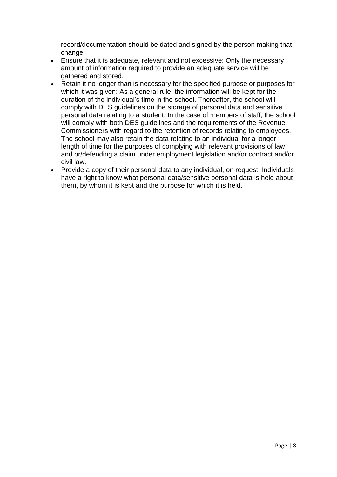record/documentation should be dated and signed by the person making that change.

- Ensure that it is adequate, relevant and not excessive: Only the necessary amount of information required to provide an adequate service will be gathered and stored.
- Retain it no longer than is necessary for the specified purpose or purposes for which it was given: As a general rule, the information will be kept for the duration of the individual's time in the school. Thereafter, the school will comply with DES guidelines on the storage of personal data and sensitive personal data relating to a student. In the case of members of staff, the school will comply with both DES guidelines and the requirements of the Revenue Commissioners with regard to the retention of records relating to employees. The school may also retain the data relating to an individual for a longer length of time for the purposes of complying with relevant provisions of law and or/defending a claim under employment legislation and/or contract and/or civil law.
- Provide a copy of their personal data to any individual, on request: Individuals have a right to know what personal data/sensitive personal data is held about them, by whom it is kept and the purpose for which it is held.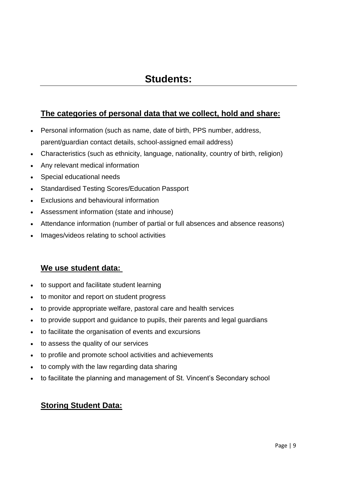# **Students:**

### **The categories of personal data that we collect, hold and share:**

- Personal information (such as name, date of birth, PPS number, address, parent/guardian contact details, school-assigned email address)
- Characteristics (such as ethnicity, language, nationality, country of birth, religion)
- Any relevant medical information
- Special educational needs
- Standardised Testing Scores/Education Passport
- Exclusions and behavioural information
- Assessment information (state and inhouse)
- Attendance information (number of partial or full absences and absence reasons)
- Images/videos relating to school activities

### **We use student data:**

- to support and facilitate student learning
- to monitor and report on student progress
- to provide appropriate welfare, pastoral care and health services
- to provide support and guidance to pupils, their parents and legal guardians
- to facilitate the organisation of events and excursions
- to assess the quality of our services
- to profile and promote school activities and achievements
- to comply with the law regarding data sharing
- to facilitate the planning and management of St. Vincent's Secondary school

### **Storing Student Data:**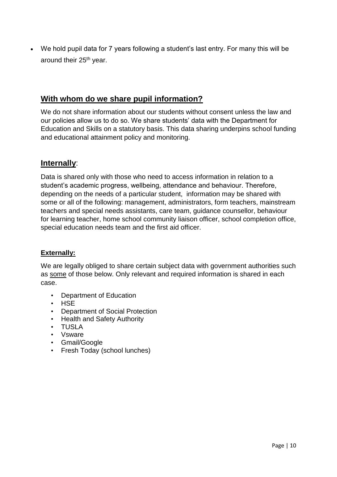We hold pupil data for 7 years following a student's last entry. For many this will be around their 25<sup>th</sup> year.

### **With whom do we share pupil information?**

We do not share information about our students without consent unless the law and our policies allow us to do so. We share students' data with the Department for Education and Skills on a statutory basis. This data sharing underpins school funding and educational attainment policy and monitoring.

#### **Internally**:

Data is shared only with those who need to access information in relation to a student's academic progress, wellbeing, attendance and behaviour. Therefore, depending on the needs of a particular student, information may be shared with some or all of the following: management, administrators, form teachers, mainstream teachers and special needs assistants, care team, guidance counsellor, behaviour for learning teacher, home school community liaison officer, school completion office, special education needs team and the first aid officer.

#### **Externally:**

We are legally obliged to share certain subject data with government authorities such as some of those below. Only relevant and required information is shared in each case.

- Department of Education
- HSE
- Department of Social Protection
- Health and Safety Authority
- TUSLA
- Vsware
- Gmail/Google
- Fresh Today (school lunches)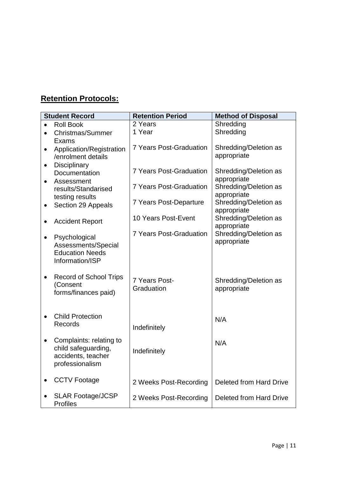# **Retention Protocols:**

|           | <b>Student Record</b>                | <b>Retention Period</b>        | <b>Method of Disposal</b>            |
|-----------|--------------------------------------|--------------------------------|--------------------------------------|
|           | <b>Roll Book</b>                     | 2 Years                        | Shredding                            |
|           | <b>Christmas/Summer</b>              | 1 Year                         | Shredding                            |
|           | Exams                                |                                |                                      |
| $\bullet$ | Application/Registration             | <b>7 Years Post-Graduation</b> | Shredding/Deletion as                |
|           | /enrolment details                   |                                | appropriate                          |
| $\bullet$ | Disciplinary                         |                                |                                      |
|           | Documentation                        | <b>7 Years Post-Graduation</b> | Shredding/Deletion as                |
|           | Assessment                           | <b>7 Years Post-Graduation</b> | appropriate<br>Shredding/Deletion as |
|           | results/Standarised                  |                                | appropriate                          |
|           | testing results                      | 7 Years Post-Departure         | Shredding/Deletion as                |
|           | Section 29 Appeals                   |                                | appropriate                          |
|           |                                      | 10 Years Post-Event            | Shredding/Deletion as                |
|           | <b>Accident Report</b>               |                                | appropriate                          |
|           |                                      | <b>7 Years Post-Graduation</b> | Shredding/Deletion as                |
| $\bullet$ | Psychological<br>Assessments/Special |                                | appropriate                          |
|           | <b>Education Needs</b>               |                                |                                      |
|           | Information/ISP                      |                                |                                      |
|           |                                      |                                |                                      |
| $\bullet$ | <b>Record of School Trips</b>        |                                |                                      |
|           | (Consent                             | 7 Years Post-                  | Shredding/Deletion as                |
|           | forms/finances paid)                 | Graduation                     | appropriate                          |
|           |                                      |                                |                                      |
|           |                                      |                                |                                      |
|           | <b>Child Protection</b>              |                                | N/A                                  |
|           | Records                              | Indefinitely                   |                                      |
|           |                                      |                                |                                      |
| $\bullet$ | Complaints: relating to              |                                | N/A                                  |
|           | child safeguarding,                  | Indefinitely                   |                                      |
|           | accidents, teacher                   |                                |                                      |
|           | professionalism                      |                                |                                      |
|           |                                      |                                |                                      |
|           | <b>CCTV Footage</b>                  | 2 Weeks Post-Recording         | <b>Deleted from Hard Drive</b>       |
|           |                                      |                                |                                      |
|           | <b>SLAR Footage/JCSP</b>             | 2 Weeks Post-Recording         | <b>Deleted from Hard Drive</b>       |
|           | <b>Profiles</b>                      |                                |                                      |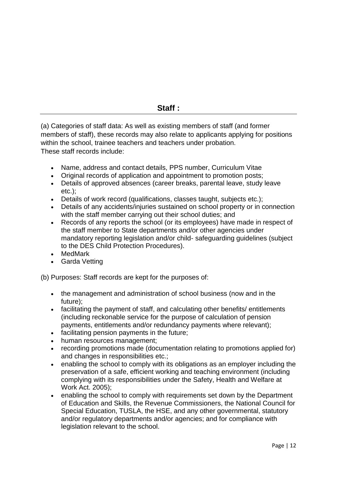(a) Categories of staff data: As well as existing members of staff (and former members of staff), these records may also relate to applicants applying for positions within the school, trainee teachers and teachers under probation. These staff records include:

- Name, address and contact details, PPS number, Curriculum Vitae
- Original records of application and appointment to promotion posts;
- Details of approved absences (career breaks, parental leave, study leave etc.);
- Details of work record (qualifications, classes taught, subjects etc.);
- Details of any accidents/injuries sustained on school property or in connection with the staff member carrying out their school duties; and
- Records of any reports the school (or its employees) have made in respect of the staff member to State departments and/or other agencies under mandatory reporting legislation and/or child- safeguarding guidelines (subject to the DES Child Protection Procedures).
- MedMark
- Garda Vetting

(b) Purposes: Staff records are kept for the purposes of:

- the management and administration of school business (now and in the future);
- facilitating the payment of staff, and calculating other benefits/ entitlements (including reckonable service for the purpose of calculation of pension payments, entitlements and/or redundancy payments where relevant);
- facilitating pension payments in the future;
- human resources management:
- recording promotions made (documentation relating to promotions applied for) and changes in responsibilities etc.;
- enabling the school to comply with its obligations as an employer including the preservation of a safe, efficient working and teaching environment (including complying with its responsibilities under the Safety, Health and Welfare at Work Act. 2005);
- enabling the school to comply with requirements set down by the Department of Education and Skills, the Revenue Commissioners, the National Council for Special Education, TUSLA, the HSE, and any other governmental, statutory and/or regulatory departments and/or agencies; and for compliance with legislation relevant to the school.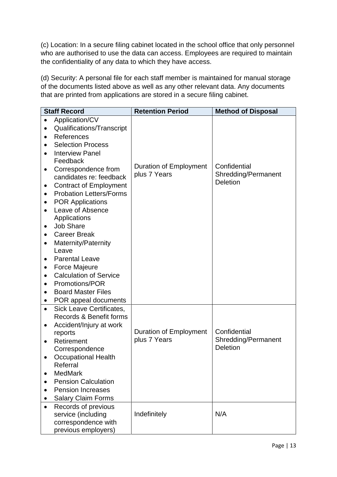(c) Location: In a secure filing cabinet located in the school office that only personnel who are authorised to use the data can access. Employees are required to maintain the confidentiality of any data to which they have access.

(d) Security: A personal file for each staff member is maintained for manual storage of the documents listed above as well as any other relevant data. Any documents that are printed from applications are stored in a secure filing cabinet.

|           | <b>Staff Record</b>                       | <b>Retention Period</b>       | <b>Method of Disposal</b> |
|-----------|-------------------------------------------|-------------------------------|---------------------------|
| $\bullet$ | Application/CV                            |                               |                           |
|           | Qualifications/Transcript                 |                               |                           |
|           | References                                |                               |                           |
|           | <b>Selection Process</b>                  |                               |                           |
|           | <b>Interview Panel</b>                    |                               |                           |
|           | Feedback                                  |                               |                           |
| ٠         | Correspondence from                       | Duration of Employment        | Confidential              |
|           | candidates re: feedback                   | plus 7 Years                  | Shredding/Permanent       |
|           | <b>Contract of Employment</b>             |                               | <b>Deletion</b>           |
|           | <b>Probation Letters/Forms</b>            |                               |                           |
|           | <b>POR Applications</b>                   |                               |                           |
| $\bullet$ | Leave of Absence                          |                               |                           |
|           | Applications                              |                               |                           |
| ٠         | <b>Job Share</b>                          |                               |                           |
|           | <b>Career Break</b>                       |                               |                           |
|           | Maternity/Paternity                       |                               |                           |
|           | Leave                                     |                               |                           |
|           | <b>Parental Leave</b>                     |                               |                           |
|           | Force Majeure                             |                               |                           |
|           | <b>Calculation of Service</b>             |                               |                           |
|           | Promotions/POR                            |                               |                           |
|           | <b>Board Master Files</b>                 |                               |                           |
|           | POR appeal documents                      |                               |                           |
| $\bullet$ | <b>Sick Leave Certificates,</b>           |                               |                           |
|           | Records & Benefit forms                   |                               |                           |
| $\bullet$ | Accident/Injury at work                   |                               |                           |
|           | reports                                   | <b>Duration of Employment</b> | Confidential              |
| $\bullet$ | Retirement                                | plus 7 Years                  | Shredding/Permanent       |
|           | Correspondence                            |                               | <b>Deletion</b>           |
|           | <b>Occupational Health</b>                |                               |                           |
|           | Referral                                  |                               |                           |
|           | <b>MedMark</b>                            |                               |                           |
| $\bullet$ | <b>Pension Calculation</b>                |                               |                           |
|           | <b>Pension Increases</b>                  |                               |                           |
|           | <b>Salary Claim Forms</b>                 |                               |                           |
|           | Records of previous                       | Indefinitely                  | N/A                       |
|           | service (including<br>correspondence with |                               |                           |
|           | previous employers)                       |                               |                           |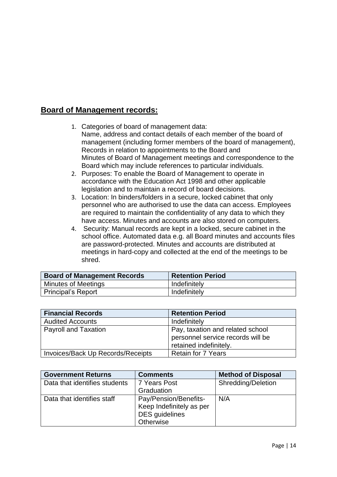### **Board of Management records:**

- 1. Categories of board of management data: Name, address and contact details of each member of the board of management (including former members of the board of management), Records in relation to appointments to the Board and Minutes of Board of Management meetings and correspondence to the Board which may include references to particular individuals.
- 2. Purposes: To enable the Board of Management to operate in accordance with the Education Act 1998 and other applicable legislation and to maintain a record of board decisions.
- 3. Location: In binders/folders in a secure, locked cabinet that only personnel who are authorised to use the data can access. Employees are required to maintain the confidentiality of any data to which they have access. Minutes and accounts are also stored on computers.
- 4. Security: Manual records are kept in a locked, secure cabinet in the school office. Automated data e.g. all Board minutes and accounts files are password-protected. Minutes and accounts are distributed at meetings in hard-copy and collected at the end of the meetings to be shred.

| <b>Board of Management Records</b> | <b>Retention Period</b> |
|------------------------------------|-------------------------|
| <b>Minutes of Meetings</b>         | Indefinitely            |
| <b>Principal's Report</b>          | Indefinitely            |

| <b>Financial Records</b>          | <b>Retention Period</b>                                                                         |
|-----------------------------------|-------------------------------------------------------------------------------------------------|
| <b>Audited Accounts</b>           | Indefinitely                                                                                    |
| <b>Payroll and Taxation</b>       | Pay, taxation and related school<br>personnel service records will be<br>retained indefinitely. |
| Invoices/Back Up Records/Receipts | <b>Retain for 7 Years</b>                                                                       |

| <b>Government Returns</b>     | <b>Comments</b>          | <b>Method of Disposal</b> |
|-------------------------------|--------------------------|---------------------------|
| Data that identifies students | 7 Years Post             | <b>Shredding/Deletion</b> |
|                               | Graduation               |                           |
| Data that identifies staff    | Pay/Pension/Benefits-    | N/A                       |
|                               | Keep Indefinitely as per |                           |
|                               | <b>DES</b> guidelines    |                           |
|                               | Otherwise                |                           |